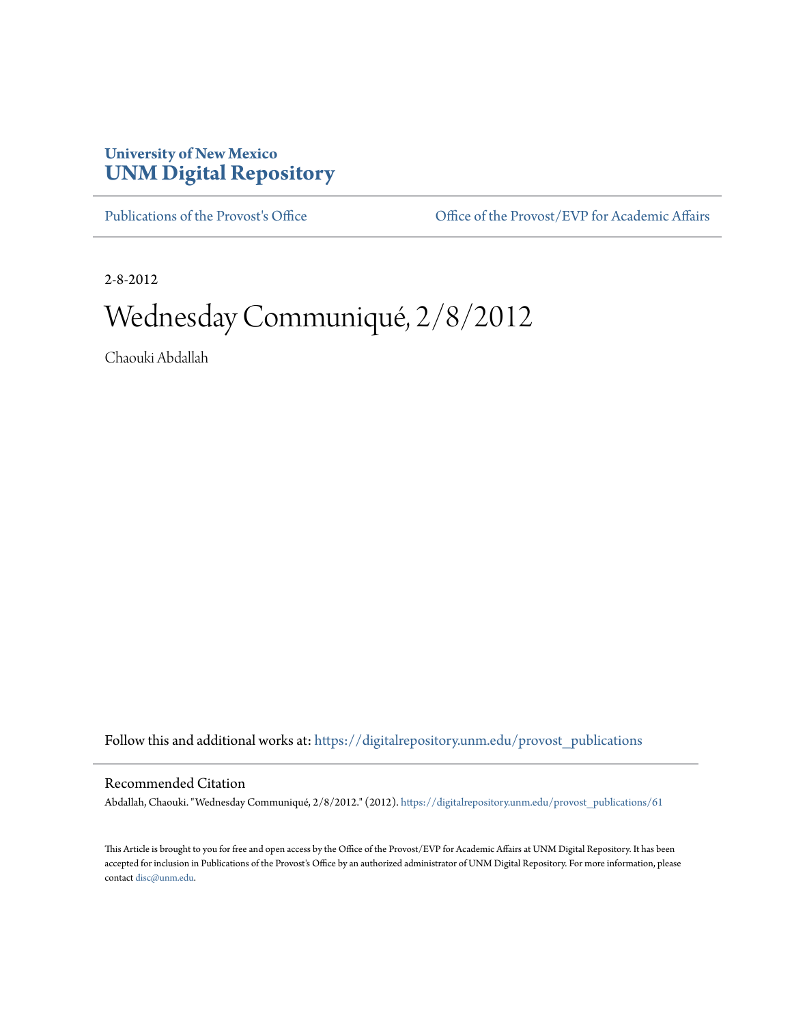## **University of New Mexico [UNM Digital Repository](https://digitalrepository.unm.edu?utm_source=digitalrepository.unm.edu%2Fprovost_publications%2F61&utm_medium=PDF&utm_campaign=PDFCoverPages)**

[Publications of the Provost's Office](https://digitalrepository.unm.edu/provost_publications?utm_source=digitalrepository.unm.edu%2Fprovost_publications%2F61&utm_medium=PDF&utm_campaign=PDFCoverPages) Office [Office of the Provost/EVP for Academic Affairs](https://digitalrepository.unm.edu/ofc_provost?utm_source=digitalrepository.unm.edu%2Fprovost_publications%2F61&utm_medium=PDF&utm_campaign=PDFCoverPages)

2-8-2012

## Wednesday Communiqué, 2/8/2012

Chaouki Abdallah

Follow this and additional works at: [https://digitalrepository.unm.edu/provost\\_publications](https://digitalrepository.unm.edu/provost_publications?utm_source=digitalrepository.unm.edu%2Fprovost_publications%2F61&utm_medium=PDF&utm_campaign=PDFCoverPages)

## Recommended Citation

Abdallah, Chaouki. "Wednesday Communiqué, 2/8/2012." (2012). [https://digitalrepository.unm.edu/provost\\_publications/61](https://digitalrepository.unm.edu/provost_publications/61?utm_source=digitalrepository.unm.edu%2Fprovost_publications%2F61&utm_medium=PDF&utm_campaign=PDFCoverPages)

This Article is brought to you for free and open access by the Office of the Provost/EVP for Academic Affairs at UNM Digital Repository. It has been accepted for inclusion in Publications of the Provost's Office by an authorized administrator of UNM Digital Repository. For more information, please contact [disc@unm.edu.](mailto:disc@unm.edu)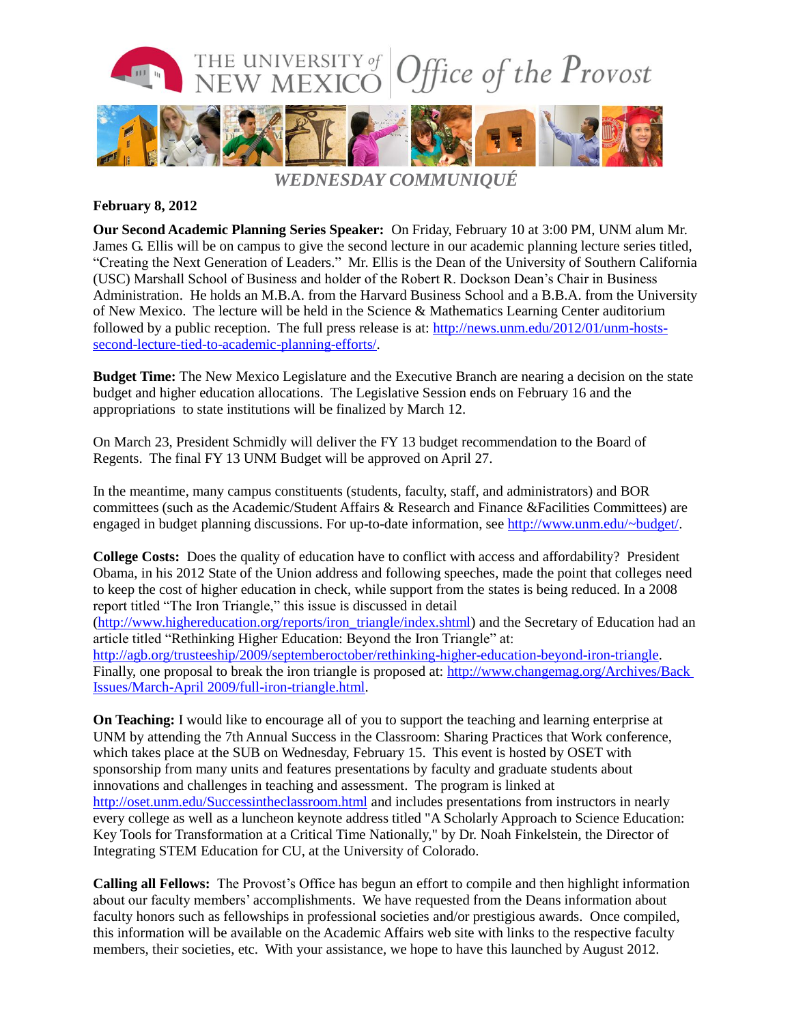

## **February 8, 2012**

**Our Second Academic Planning Series Speaker:** On Friday, February 10 at 3:00 PM, UNM alum Mr. James G. Ellis will be on campus to give the second lecture in our academic planning lecture series titled, "Creating the Next Generation of Leaders." Mr. Ellis is the Dean of the University of Southern California (USC) Marshall School of Business and holder of the Robert R. Dockson Dean's Chair in Business Administration. He holds an M.B.A. from the Harvard Business School and a B.B.A. from the University of New Mexico. The lecture will be held in the Science & Mathematics Learning Center auditorium followed by a public reception. The full press release is at: [http://news.unm.edu/2012/01/unm-hosts](http://news.unm.edu/2012/01/unm-hosts-second-lecture-tied-to-academic-planning-efforts/)[second-lecture-tied-to-academic-planning-efforts/.](http://news.unm.edu/2012/01/unm-hosts-second-lecture-tied-to-academic-planning-efforts/)

**Budget Time:** The New Mexico Legislature and the Executive Branch are nearing a decision on the state budget and higher education allocations. The Legislative Session ends on February 16 and the appropriations to state institutions will be finalized by March 12.

On March 23, President Schmidly will deliver the FY 13 budget recommendation to the Board of Regents. The final FY 13 UNM Budget will be approved on April 27.

In the meantime, many campus constituents (students, faculty, staff, and administrators) and BOR committees (such as the Academic/Student Affairs & Research and Finance &Facilities Committees) are engaged in budget planning discussions. For up-to-date information, see [http://www.unm.edu/~budget/.](http://www.unm.edu/~budget/)

**College Costs:** Does the quality of education have to conflict with access and affordability? President Obama, in his 2012 State of the Union address and following speeches, made the point that colleges need to keep the cost of higher education in check, while support from the states is being reduced. In a 2008 report titled "The Iron Triangle," this issue is discussed in detail [\(http://www.highereducation.org/reports/iron\\_triangle/index.shtml\)](http://www.highereducation.org/reports/iron_triangle/index.shtml) and the Secretary of Education had an article titled "Rethinking Higher Education: Beyond the Iron Triangle" at: [http://agb.org/trusteeship/2009/septemberoctober/rethinking-higher-education-beyond-iron-triangle.](http://agb.org/trusteeship/2009/septemberoctober/rethinking-higher-education-beyond-iron-triangle) Finally, one proposal to break the iron triangle is proposed at: [http://www.changemag.org/Archives/Back](http://www.changemag.org/Archives/Back%20Issues/March-April%202009/full-iron-triangle.html)  [Issues/March-April 2009/full-iron-triangle.html.](http://www.changemag.org/Archives/Back%20Issues/March-April%202009/full-iron-triangle.html)

**On Teaching:** I would like to encourage all of you to support the teaching and learning enterprise at UNM by attending the 7th Annual Success in the Classroom: Sharing Practices that Work conference, which takes place at the SUB on Wednesday, February 15. This event is hosted by OSET with sponsorship from many units and features presentations by faculty and graduate students about innovations and challenges in teaching and assessment. The program is linked at <http://oset.unm.edu/Successintheclassroom.html> and includes presentations from instructors in nearly every college as well as a luncheon keynote address titled "A Scholarly Approach to Science Education: Key Tools for Transformation at a Critical Time Nationally," by Dr. Noah Finkelstein, the Director of Integrating STEM Education for CU, at the University of Colorado.

**Calling all Fellows:** The Provost's Office has begun an effort to compile and then highlight information about our faculty members' accomplishments. We have requested from the Deans information about faculty honors such as fellowships in professional societies and/or prestigious awards. Once compiled, this information will be available on the Academic Affairs web site with links to the respective faculty members, their societies, etc. With your assistance, we hope to have this launched by August 2012.